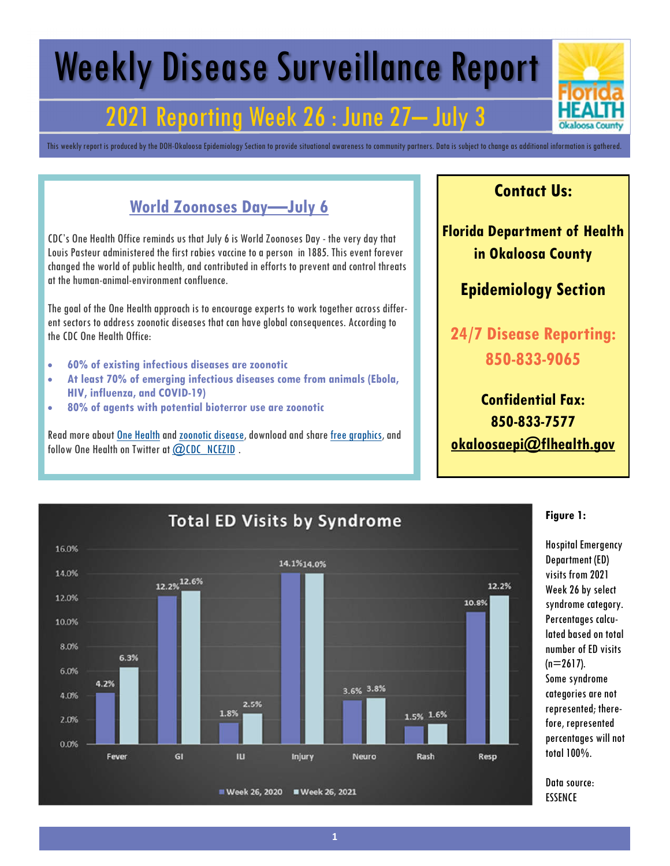# Weekly Disease Surveillance Report

## 2021 Reporting Week 26 : June 27– July 3

This weekly report is produced by the DOH-Okaloosa Epidemiology Section to provide situational awareness to community partners. Data is subject to change as additional information is gathered.

## **World Zoonoses Day—July 6**

CDC's One Health Office reminds us that July 6 is World Zoonoses Day - the very day that Louis Pasteur administered the first rabies vaccine to a person in 1885. This event forever changed the world of public health, and contributed in efforts to prevent and control threats at the human-animal-environment confluence.

The goal of the One Health approach is to encourage experts to work together across different sectors to address zoonotic diseases that can have global consequences. According to the CDC One Health Office:

- **60% of existing infectious diseases are zoonotic**
- **At least 70% of emerging infectious diseases come from animals (Ebola, HIV, influenza, and COVID-19)**
- **80% of agents with potential bioterror use are zoonotic**

Read more about One Health and zoonotic disease, download and share free graphics, and follow One Health on Twitter at @CDC\_NCEZID.

### **Contact Us:**

**Florida Department of Health in Okaloosa County**

### **Epidemiology Section**

**24/7 Disease Reporting: 850-833-9065**

**Confidential Fax: 850-833-7577 okaloosaepi@flhealth.gov**



#### **Figure 1:**

Hospital Emergency Department (ED) visits from 2021 Week 26 by select syndrome category. Percentages calculated based on total number of ED visits  $(n=2617)$ . Some syndrome categories are not represented; therefore, represented percentages will not total 100%.

Data source: ESSENCE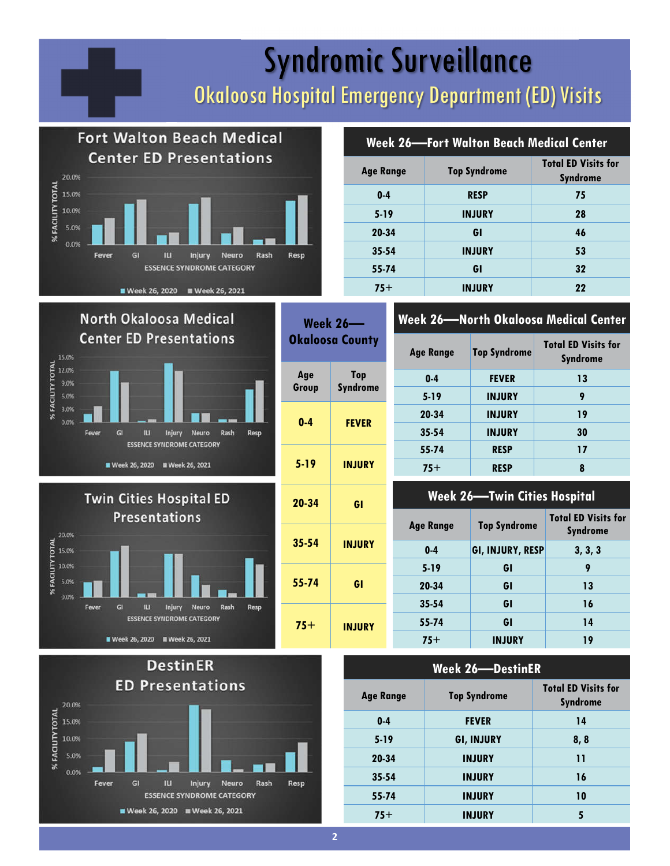# Syndromic Surveillance Okaloosa Hospital Emergency Department (ED) Visits









|  | <b>Week 26—Fort Walton Beach Medical Center</b> |  |
|--|-------------------------------------------------|--|
|--|-------------------------------------------------|--|

| <b>Age Range</b> | <b>Top Syndrome</b> | <b>Total ED Visits for</b><br><b>Syndrome</b> |  |
|------------------|---------------------|-----------------------------------------------|--|
| $0 - 4$          | <b>RESP</b>         | 75                                            |  |
| $5 - 19$         | <b>INJURY</b>       | 28                                            |  |
| 20-34            | GI                  | 46                                            |  |
| $35 - 54$        | <b>INJURY</b>       | 53                                            |  |
| 55-74            | GI                  | 32                                            |  |
| $75+$            | <b>INJURY</b>       | 22                                            |  |

### **Week 26—North Okaloosa Medical Center**

| <b>Age Range</b> | <b>Top Syndrome</b> | <b>Total ED Visits for</b><br><b>Syndrome</b> |
|------------------|---------------------|-----------------------------------------------|
| $0 - 4$          | <b>FEVER</b>        | 13                                            |
| $5 - 19$         | <b>INJURY</b>       | 9                                             |
| 20-34            | <b>INJURY</b>       | 19                                            |
| $35 - 54$        | <b>INJURY</b>       | 30                                            |
| 55-74            | <b>RESP</b>         | 17                                            |
| $75+$            | <b>RESP</b>         | 8                                             |
|                  |                     |                                               |

### **Week 26—Twin Cities Hospital**

| 20-34<br>GI<br>35-54<br><b>INJURY</b> | <b>WEEK ZU TIWIII CHIES NUSPIIUI</b> |                     |                                               |
|---------------------------------------|--------------------------------------|---------------------|-----------------------------------------------|
|                                       | <b>Age Range</b>                     | <b>Top Syndrome</b> | <b>Total ED Visits for</b><br><b>Syndrome</b> |
|                                       | $0 - 4$                              | GI, INJURY, RESP    | 3, 3, 3                                       |
|                                       | $5 - 19$                             | GI                  | 9                                             |
| GI                                    | 20-34                                | GI                  | 13                                            |
|                                       | $35 - 54$                            | GI                  | 16                                            |
|                                       | 55-74                                | GI                  | 14                                            |
|                                       | $75+$                                | <b>INJURY</b>       | 19                                            |
|                                       | <b>INJURY</b>                        |                     |                                               |

| <b>Week 26-DestinER</b> |                     |                                               |  |
|-------------------------|---------------------|-----------------------------------------------|--|
| <b>Age Range</b>        | <b>Top Syndrome</b> | <b>Total ED Visits for</b><br><b>Syndrome</b> |  |
| $0 - 4$                 | <b>FEVER</b>        | 14                                            |  |
| $5 - 19$                | <b>GI, INJURY</b>   | 8, 8                                          |  |
| 20-34                   | <b>INJURY</b>       | 11                                            |  |
| $35 - 54$               | <b>INJURY</b>       | 16                                            |  |
| 55-74                   | <b>INJURY</b>       | 10                                            |  |
| $75+$                   | <b>INJURY</b>       | 5                                             |  |

**Week 26—**

**0-4 FEVER**

**5-19 INJURY**

**Top Syndrome**

**Age Group**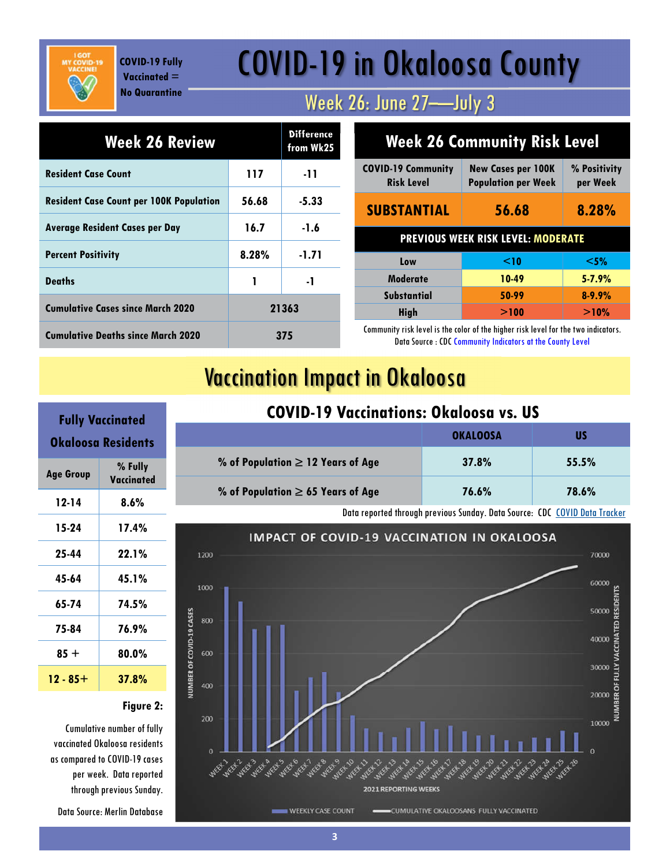**COVID-19 Fully Vaccinated = No Quarantine**

# COVID-19 in Okaloosa County

## Week 26: June 27—July 3

| Week 26 Review                                 |       | <b>Difference</b><br>from Wk25 |
|------------------------------------------------|-------|--------------------------------|
| <b>Resident Case Count</b>                     | 117   | -11                            |
| <b>Resident Case Count per 100K Population</b> | 56.68 | -5.33                          |
| <b>Average Resident Cases per Day</b>          | 16.7  | $-1.6$                         |
| <b>Percent Positivity</b>                      | 8.28% | -1.71                          |
| <b>Deaths</b>                                  | 1     | -1                             |
| <b>Cumulative Cases since March 2020</b>       | 21363 |                                |
| <b>Cumulative Deaths since March 2020</b>      | 375   |                                |

| <b>Week 26 Community Risk Level</b>            |                                                         |                          |  |
|------------------------------------------------|---------------------------------------------------------|--------------------------|--|
| <b>COVID-19 Community</b><br><b>Risk Level</b> | <b>New Cases per 100K</b><br><b>Population per Week</b> | % Positivity<br>per Week |  |
| <b>SUBSTANTIAL</b><br>56.68                    |                                                         | 8.28%                    |  |
| <b>PREVIOUS WEEK RISK LEVEL: MODERATE</b>      |                                                         |                          |  |
| Low                                            | $\leq$ 10                                               | $<$ 5%                   |  |
| <b>Moderate</b>                                | 10-49                                                   | $5 - 7.9%$               |  |
| <b>Substantial</b>                             | 50-99                                                   | $8 - 9.9%$               |  |
| <b>High</b>                                    | >100                                                    | >10%                     |  |

Community risk level is the color of the higher risk level for the two indicators. Data Source : CDC Community Indicators at the County Level

## Vaccination Impact in Okaloosa

|                                        | <b>OKALOOSA</b> | US    |
|----------------------------------------|-----------------|-------|
| % of Population $\geq$ 12 Years of Age | 37.8%           | 55.5% |
| % of Population $\geq$ 65 Years of Age | 76.6%           | 78.6% |

#### Data reported through previous Sunday. Data Source: CDC COVID Data Tracker



## **Fully Vaccinated Okaloosa Residents Age Group % Fully Vaccinated 12-14 8.6% 15-24 17.4% 25-44 22.1% 45-64 45.1% 65-74 74.5% 75-84 76.9% 85 + 80.0% 12 - 85+ 37.8%**

#### **Figure 2:**

Cumulative number of fully vaccinated Okaloosa residents as compared to COVID-19 cases per week. Data reported through previous Sunday.

Data Source: Merlin Database

## **COVID-19 Vaccinations: Okaloosa vs. US**